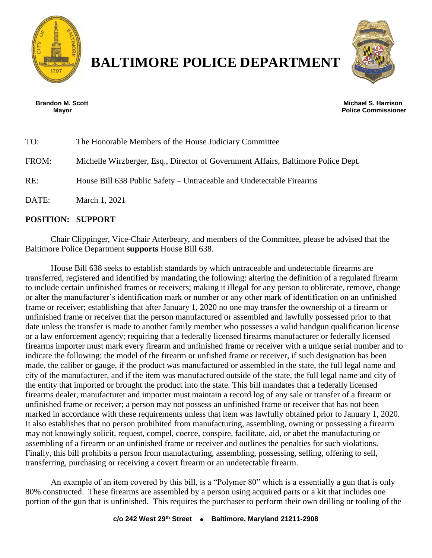

## **BALTIMORE POLICE DEPARTMENT**



**Brandon M. Scott Michael S. Harrison Mayor Police Commissioner**

| TO:   | The Honorable Members of the House Judiciary Committee                            |
|-------|-----------------------------------------------------------------------------------|
| FROM: | Michelle Wirzberger, Esq., Director of Government Affairs, Baltimore Police Dept. |
| RE:   | House Bill 638 Public Safety – Untraceable and Undetectable Firearms              |
| DATE: | March 1, 2021                                                                     |

## **POSITION: SUPPORT**

Chair Clippinger, Vice-Chair Atterbeary, and members of the Committee, please be advised that the Baltimore Police Department **supports** House Bill 638.

House Bill 638 seeks to establish standards by which untraceable and undetectable firearms are transferred, registered and identified by mandating the following: altering the definition of a regulated firearm to include certain unfinished frames or receivers; making it illegal for any person to obliterate, remove, change or alter the manufacturer's identification mark or number or any other mark of identification on an unfinished frame or receiver; establishing that after January 1, 2020 no one may transfer the ownership of a firearm or unfinished frame or receiver that the person manufactured or assembled and lawfully possessed prior to that date unless the transfer is made to another family member who possesses a valid handgun qualification license or a law enforcement agency; requiring that a federally licensed firearms manufacturer or federally licensed firearms importer must mark every firearm and unfinished frame or receiver with a unique serial number and to indicate the following: the model of the firearm or unfished frame or receiver, if such designation has been made, the caliber or gauge, if the product was manufactured or assembled in the state, the full legal name and city of the manufacturer, and if the item was manufactured outside of the state, the full legal name and city of the entity that imported or brought the product into the state. This bill mandates that a federally licensed firearms dealer, manufacturer and importer must maintain a record log of any sale or transfer of a firearm or unfinished frame or receiver; a person may not possess an unfinished frame or receiver that has not been marked in accordance with these requirements unless that item was lawfully obtained prior to January 1, 2020. It also establishes that no person prohibited from manufacturing, assembling, owning or possessing a firearm may not knowingly solicit, request, compel, coerce, conspire, facilitate, aid, or abet the manufacturing or assembling of a firearm or an unfinished frame or receiver and outlines the penalties for such violations. Finally, this bill prohibits a person from manufacturing, assembling, possessing, selling, offering to sell, transferring, purchasing or receiving a covert firearm or an undetectable firearm.

An example of an item covered by this bill, is a "Polymer 80" which is a essentially a gun that is only 80% constructed. These firearms are assembled by a person using acquired parts or a kit that includes one portion of the gun that is unfinished. This requires the purchaser to perform their own drilling or tooling of the